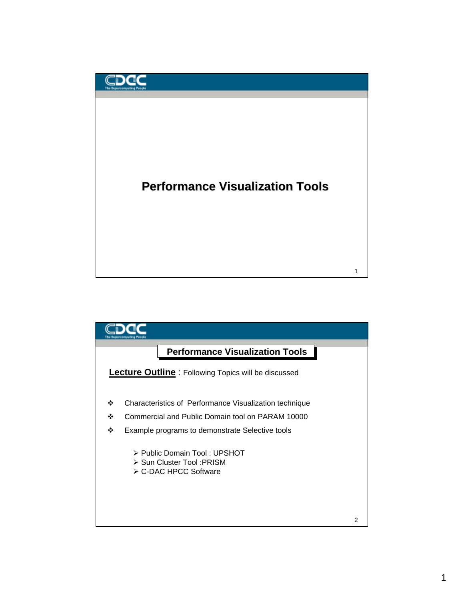

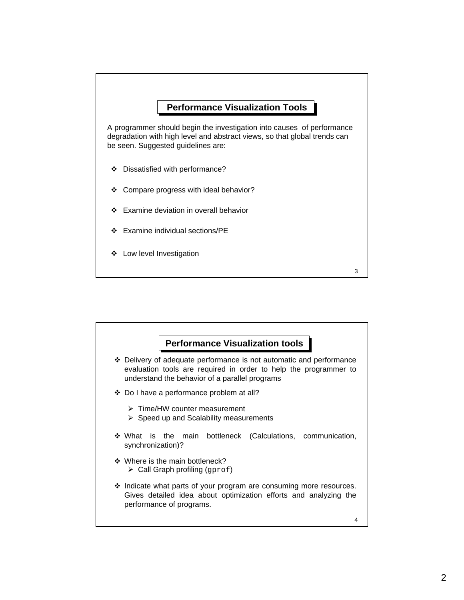

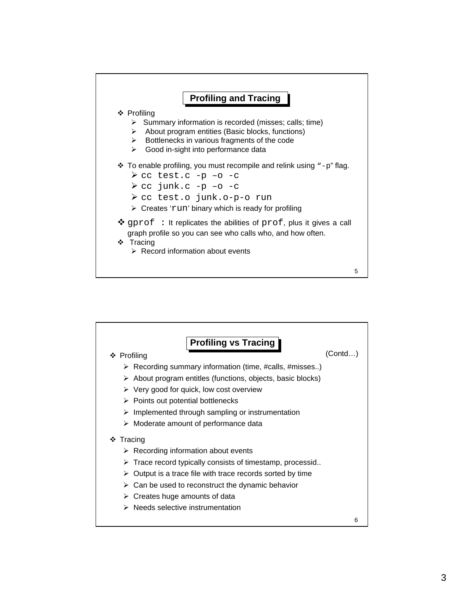

![](_page_2_Figure_1.jpeg)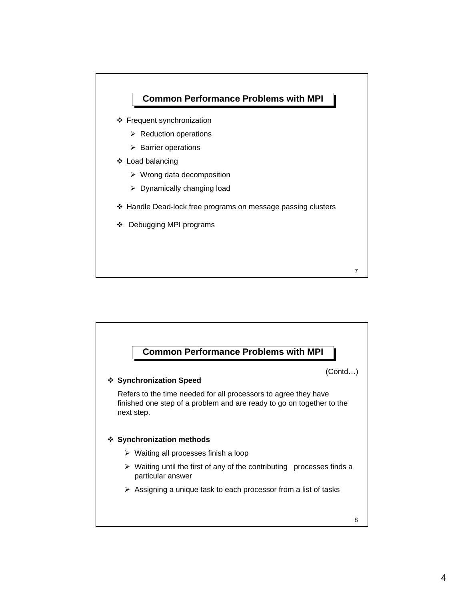![](_page_3_Figure_0.jpeg)

![](_page_3_Figure_1.jpeg)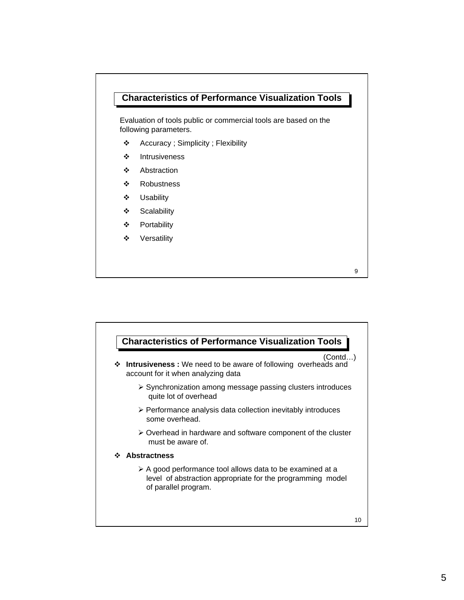## **Characteristics of Performance Visualization Tools**

Evaluation of tools public or commercial tools are based on the following parameters.

- \* Accuracy ; Simplicity ; Flexibility
- $\div$  Intrusiveness
- v Abstraction
- ❖ Robustness
- v Usability
- v Scalability
- v Portability
- ❖ Versatility

![](_page_4_Figure_10.jpeg)

![](_page_4_Figure_11.jpeg)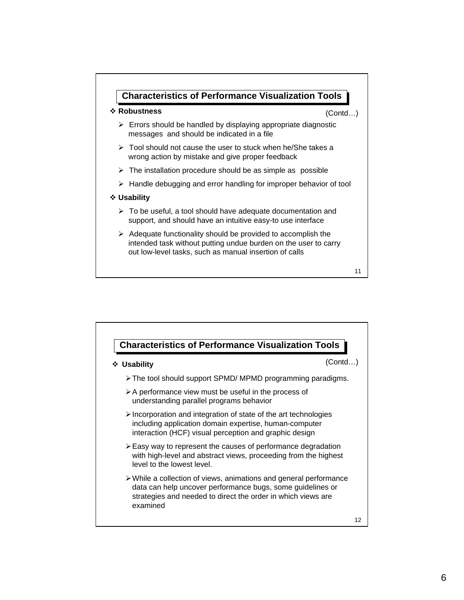![](_page_5_Figure_0.jpeg)

![](_page_5_Figure_1.jpeg)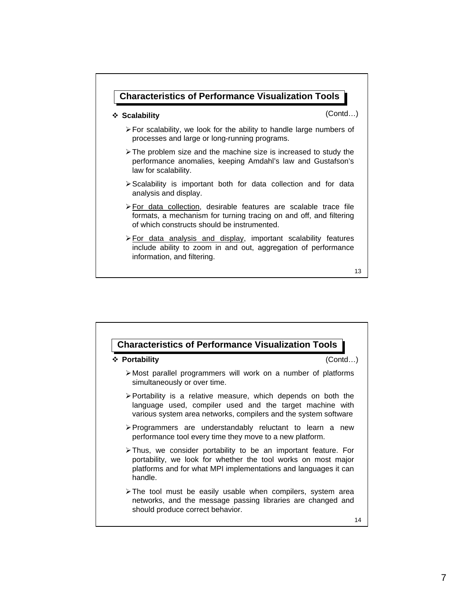![](_page_6_Figure_0.jpeg)

![](_page_6_Figure_1.jpeg)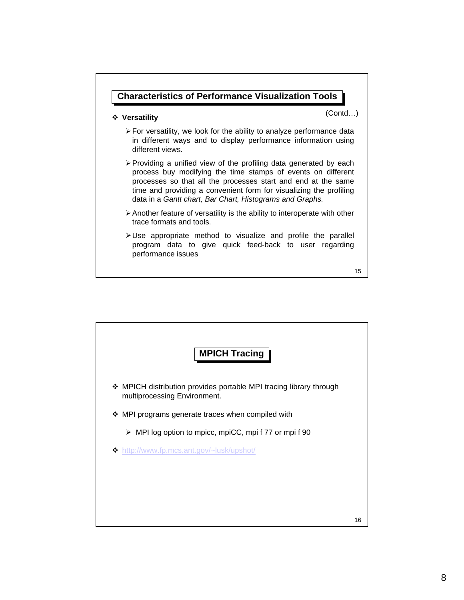![](_page_7_Figure_0.jpeg)

![](_page_7_Figure_1.jpeg)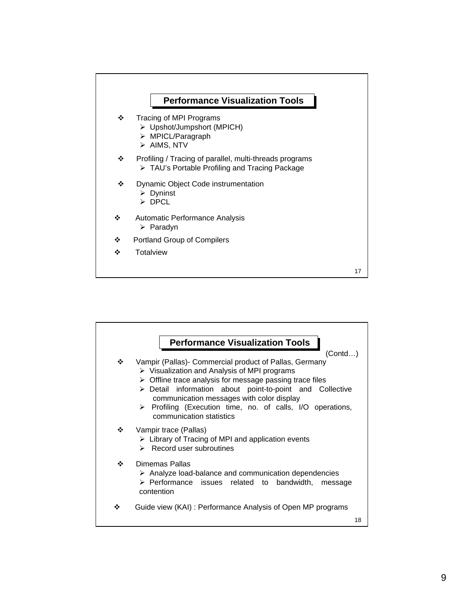![](_page_8_Figure_0.jpeg)

![](_page_8_Figure_1.jpeg)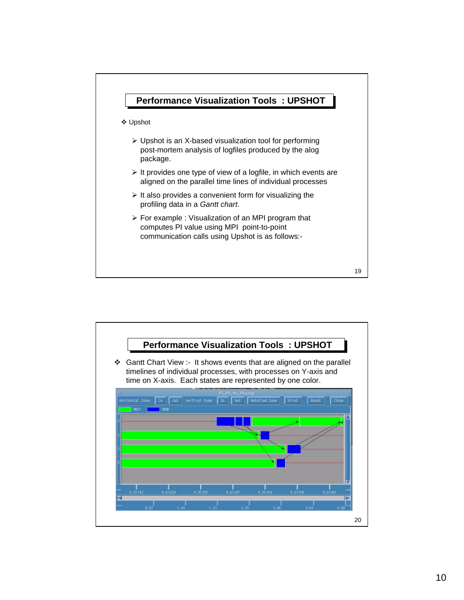![](_page_9_Figure_0.jpeg)

![](_page_9_Figure_1.jpeg)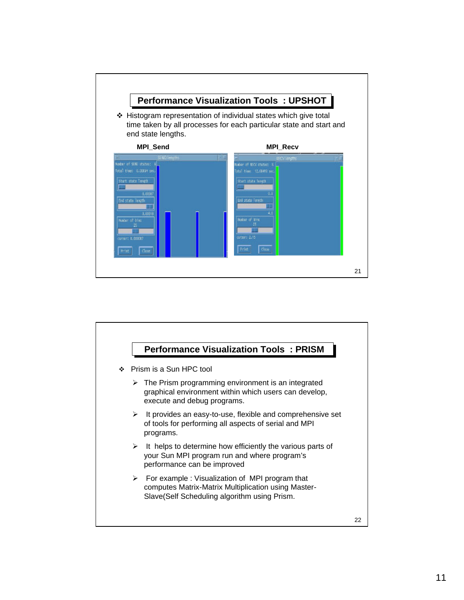![](_page_10_Figure_0.jpeg)

![](_page_10_Figure_1.jpeg)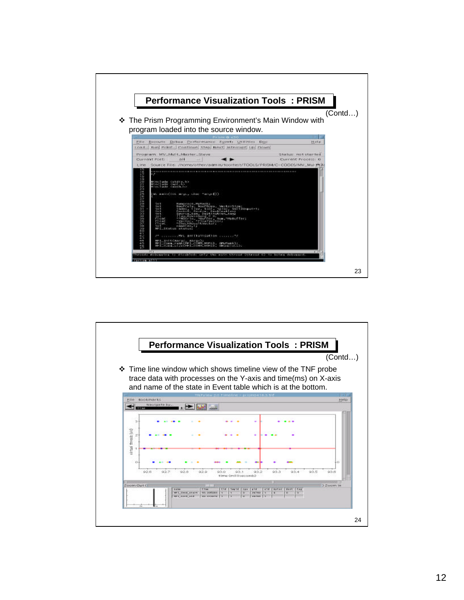![](_page_11_Figure_0.jpeg)

![](_page_11_Figure_1.jpeg)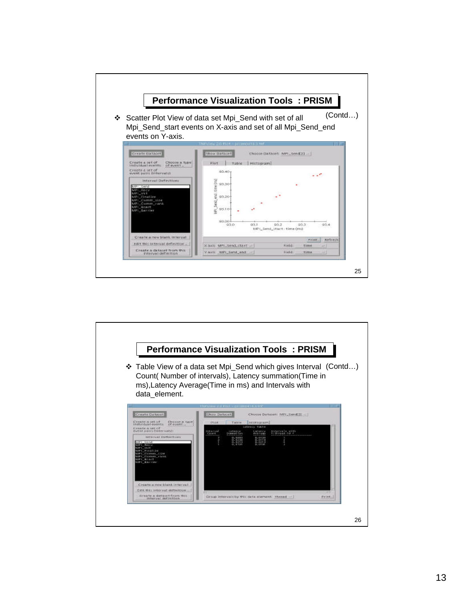![](_page_12_Figure_0.jpeg)

![](_page_12_Figure_1.jpeg)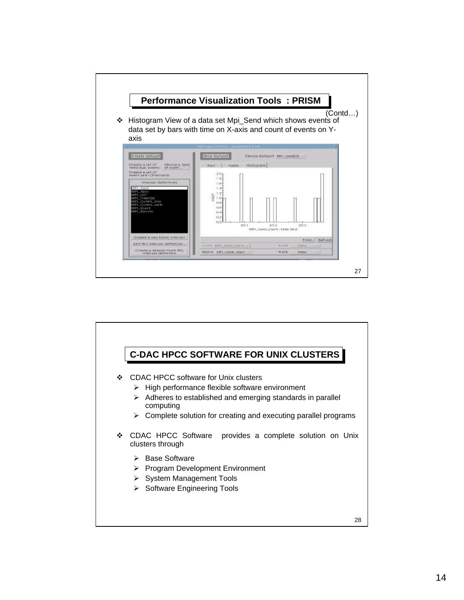![](_page_13_Figure_0.jpeg)

![](_page_13_Figure_1.jpeg)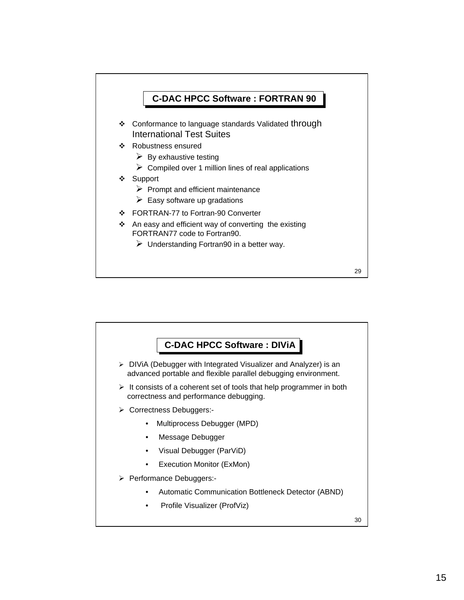![](_page_14_Figure_0.jpeg)

![](_page_14_Figure_1.jpeg)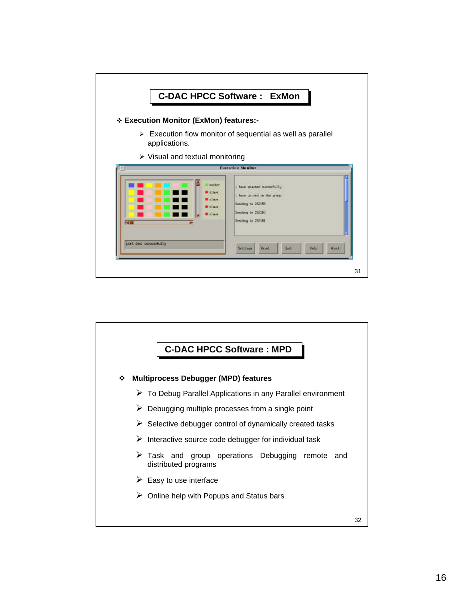![](_page_15_Figure_0.jpeg)

![](_page_15_Figure_1.jpeg)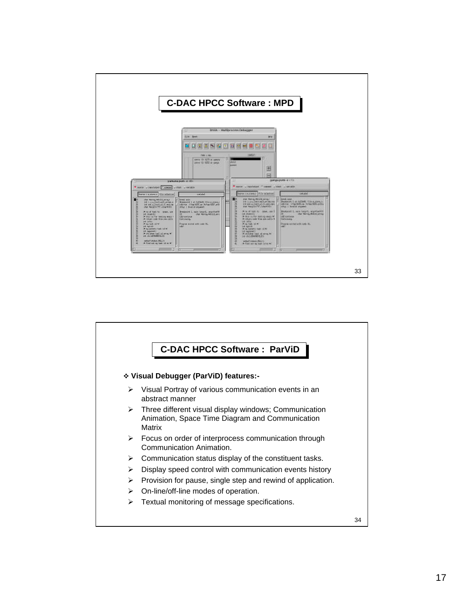![](_page_16_Figure_0.jpeg)

![](_page_16_Figure_1.jpeg)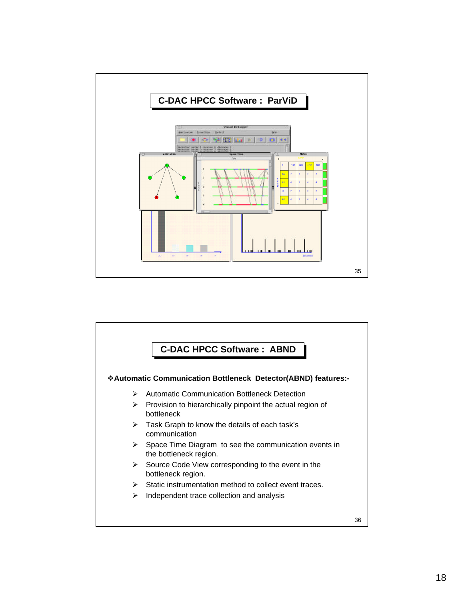![](_page_17_Figure_0.jpeg)

![](_page_17_Figure_1.jpeg)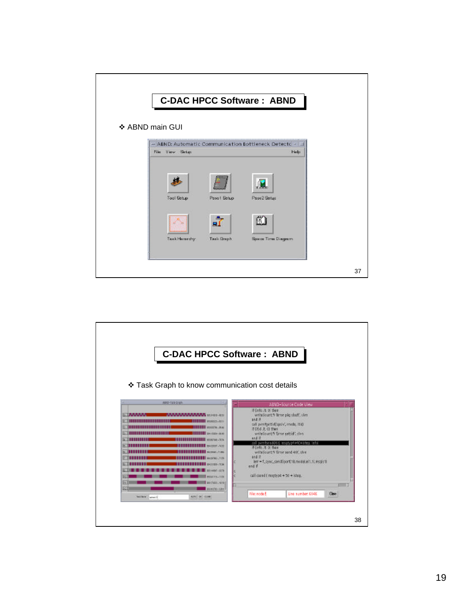| <b>C-DAC HPCC Software: ABND</b>                                                 |    |
|----------------------------------------------------------------------------------|----|
| ❖ ABND main GUI                                                                  |    |
| - ABND: Automatic Communication Bottleneck Detectc -<br>File View Setup<br>Help: |    |
| <b>Tool Setup</b><br>Pass2 Setuo<br>Pass1 Setup                                  |    |
| å<br>⚠<br>Taxak Hamardhy.<br>Task Graph<br>Space Time Disgram                    |    |
|                                                                                  | 37 |

![](_page_18_Figure_1.jpeg)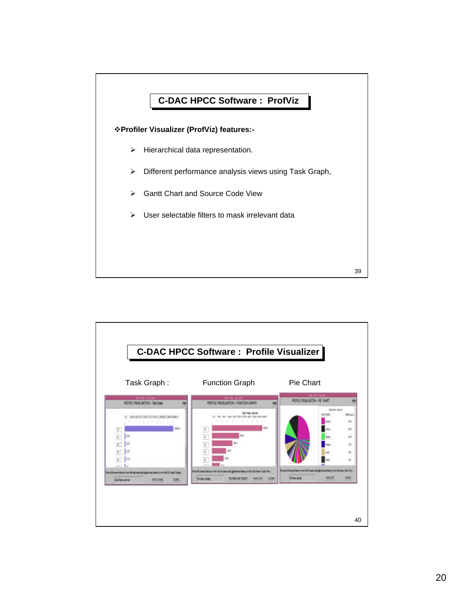![](_page_19_Figure_0.jpeg)

![](_page_19_Figure_1.jpeg)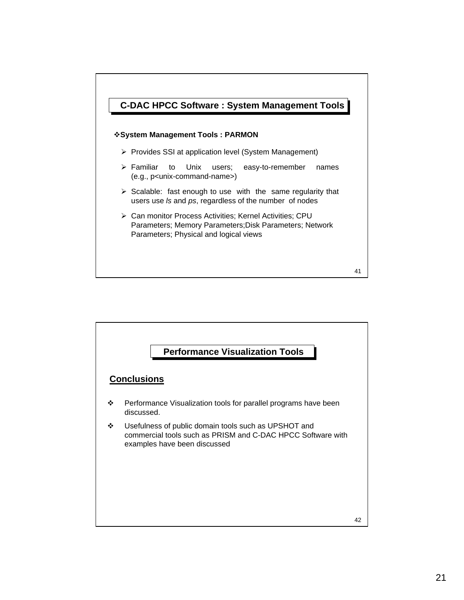![](_page_20_Figure_0.jpeg)

![](_page_20_Figure_1.jpeg)